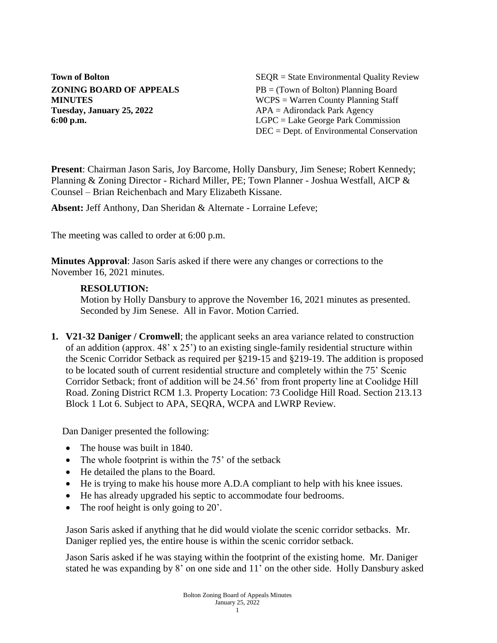**Tuesday, January 25, 2022** APA = Adirondack Park Agency

**Town of Bolton** SEQR = State Environmental Quality Review **ZONING BOARD OF APPEALS** PB = (Town of Bolton) Planning Board **MINUTES** WCPS = Warren County Planning Staff **6:00 p.m.** LGPC = Lake George Park Commission DEC = Dept. of Environmental Conservation

**Present**: Chairman Jason Saris, Joy Barcome, Holly Dansbury, Jim Senese; Robert Kennedy; Planning & Zoning Director - Richard Miller, PE; Town Planner - Joshua Westfall, AICP & Counsel – Brian Reichenbach and Mary Elizabeth Kissane.

**Absent:** Jeff Anthony, Dan Sheridan & Alternate - Lorraine Lefeve;

The meeting was called to order at 6:00 p.m.

**Minutes Approval**: Jason Saris asked if there were any changes or corrections to the November 16, 2021 minutes.

#### **RESOLUTION:**

Motion by Holly Dansbury to approve the November 16, 2021 minutes as presented. Seconded by Jim Senese. All in Favor. Motion Carried.

**1. V21-32 Daniger / Cromwell**; the applicant seeks an area variance related to construction of an addition (approx. 48' x 25') to an existing single-family residential structure within the Scenic Corridor Setback as required per §219-15 and §219-19. The addition is proposed to be located south of current residential structure and completely within the 75' Scenic Corridor Setback; front of addition will be 24.56' from front property line at Coolidge Hill Road. Zoning District RCM 1.3. Property Location: 73 Coolidge Hill Road. Section 213.13 Block 1 Lot 6. Subject to APA, SEQRA, WCPA and LWRP Review.

Dan Daniger presented the following:

- The house was built in 1840.
- The whole footprint is within the 75' of the setback
- He detailed the plans to the Board.
- He is trying to make his house more A.D.A compliant to help with his knee issues.
- He has already upgraded his septic to accommodate four bedrooms.
- The roof height is only going to 20'.

Jason Saris asked if anything that he did would violate the scenic corridor setbacks. Mr. Daniger replied yes, the entire house is within the scenic corridor setback.

Jason Saris asked if he was staying within the footprint of the existing home. Mr. Daniger stated he was expanding by 8' on one side and 11' on the other side. Holly Dansbury asked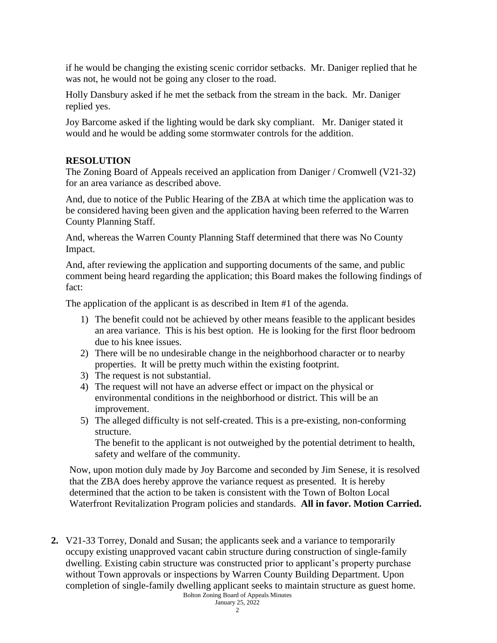if he would be changing the existing scenic corridor setbacks. Mr. Daniger replied that he was not, he would not be going any closer to the road.

Holly Dansbury asked if he met the setback from the stream in the back. Mr. Daniger replied yes.

Joy Barcome asked if the lighting would be dark sky compliant. Mr. Daniger stated it would and he would be adding some stormwater controls for the addition.

## **RESOLUTION**

The Zoning Board of Appeals received an application from Daniger / Cromwell (V21-32) for an area variance as described above.

And, due to notice of the Public Hearing of the ZBA at which time the application was to be considered having been given and the application having been referred to the Warren County Planning Staff.

And, whereas the Warren County Planning Staff determined that there was No County Impact.

And, after reviewing the application and supporting documents of the same, and public comment being heard regarding the application; this Board makes the following findings of fact:

The application of the applicant is as described in Item #1 of the agenda.

- 1) The benefit could not be achieved by other means feasible to the applicant besides an area variance. This is his best option. He is looking for the first floor bedroom due to his knee issues.
- 2) There will be no undesirable change in the neighborhood character or to nearby properties. It will be pretty much within the existing footprint.
- 3) The request is not substantial.
- 4) The request will not have an adverse effect or impact on the physical or environmental conditions in the neighborhood or district. This will be an improvement.
- 5) The alleged difficulty is not self-created. This is a pre-existing, non-conforming structure.

The benefit to the applicant is not outweighed by the potential detriment to health, safety and welfare of the community.

Now, upon motion duly made by Joy Barcome and seconded by Jim Senese, it is resolved that the ZBA does hereby approve the variance request as presented. It is hereby determined that the action to be taken is consistent with the Town of Bolton Local Waterfront Revitalization Program policies and standards. **All in favor. Motion Carried.**

Bolton Zoning Board of Appeals Minutes **2.** V21-33 Torrey, Donald and Susan; the applicants seek and a variance to temporarily occupy existing unapproved vacant cabin structure during construction of single-family dwelling. Existing cabin structure was constructed prior to applicant's property purchase without Town approvals or inspections by Warren County Building Department. Upon completion of single-family dwelling applicant seeks to maintain structure as guest home.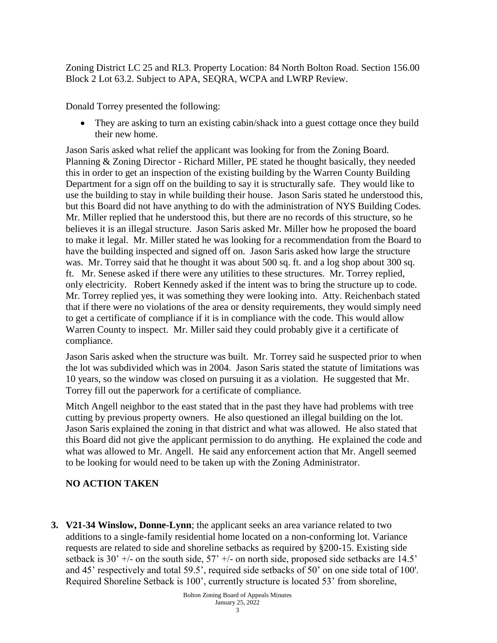Zoning District LC 25 and RL3. Property Location: 84 North Bolton Road. Section 156.00 Block 2 Lot 63.2. Subject to APA, SEQRA, WCPA and LWRP Review.

Donald Torrey presented the following:

• They are asking to turn an existing cabin/shack into a guest cottage once they build their new home.

Jason Saris asked what relief the applicant was looking for from the Zoning Board. Planning & Zoning Director - Richard Miller, PE stated he thought basically, they needed this in order to get an inspection of the existing building by the Warren County Building Department for a sign off on the building to say it is structurally safe. They would like to use the building to stay in while building their house. Jason Saris stated he understood this, but this Board did not have anything to do with the administration of NYS Building Codes. Mr. Miller replied that he understood this, but there are no records of this structure, so he believes it is an illegal structure. Jason Saris asked Mr. Miller how he proposed the board to make it legal. Mr. Miller stated he was looking for a recommendation from the Board to have the building inspected and signed off on. Jason Saris asked how large the structure was. Mr. Torrey said that he thought it was about 500 sq. ft. and a log shop about 300 sq. ft. Mr. Senese asked if there were any utilities to these structures. Mr. Torrey replied, only electricity. Robert Kennedy asked if the intent was to bring the structure up to code. Mr. Torrey replied yes, it was something they were looking into. Atty. Reichenbach stated that if there were no violations of the area or density requirements, they would simply need to get a certificate of compliance if it is in compliance with the code. This would allow Warren County to inspect. Mr. Miller said they could probably give it a certificate of compliance.

Jason Saris asked when the structure was built. Mr. Torrey said he suspected prior to when the lot was subdivided which was in 2004. Jason Saris stated the statute of limitations was 10 years, so the window was closed on pursuing it as a violation. He suggested that Mr. Torrey fill out the paperwork for a certificate of compliance.

Mitch Angell neighbor to the east stated that in the past they have had problems with tree cutting by previous property owners. He also questioned an illegal building on the lot. Jason Saris explained the zoning in that district and what was allowed. He also stated that this Board did not give the applicant permission to do anything. He explained the code and what was allowed to Mr. Angell. He said any enforcement action that Mr. Angell seemed to be looking for would need to be taken up with the Zoning Administrator.

### **NO ACTION TAKEN**

**3. V21-34 Winslow, Donne-Lynn**; the applicant seeks an area variance related to two additions to a single-family residential home located on a non-conforming lot. Variance requests are related to side and shoreline setbacks as required by §200-15. Existing side setback is 30'  $+/-$  on the south side, 57'  $+/-$  on north side, proposed side setbacks are 14.5' and 45' respectively and total 59.5', required side setbacks of 50' on one side total of 100'. Required Shoreline Setback is 100', currently structure is located 53' from shoreline,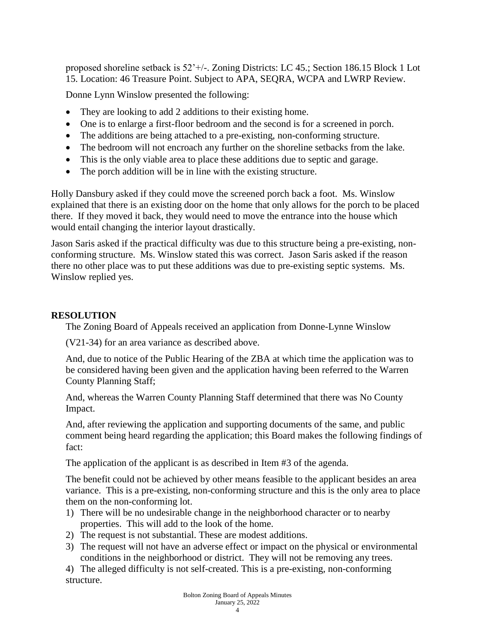proposed shoreline setback is 52'+/-. Zoning Districts: LC 45.; Section 186.15 Block 1 Lot 15. Location: 46 Treasure Point. Subject to APA, SEQRA, WCPA and LWRP Review.

Donne Lynn Winslow presented the following:

- They are looking to add 2 additions to their existing home.
- One is to enlarge a first-floor bedroom and the second is for a screened in porch.
- The additions are being attached to a pre-existing, non-conforming structure.
- The bedroom will not encroach any further on the shoreline setbacks from the lake.
- This is the only viable area to place these additions due to septic and garage.
- The porch addition will be in line with the existing structure.

Holly Dansbury asked if they could move the screened porch back a foot. Ms. Winslow explained that there is an existing door on the home that only allows for the porch to be placed there. If they moved it back, they would need to move the entrance into the house which would entail changing the interior layout drastically.

Jason Saris asked if the practical difficulty was due to this structure being a pre-existing, nonconforming structure. Ms. Winslow stated this was correct. Jason Saris asked if the reason there no other place was to put these additions was due to pre-existing septic systems. Ms. Winslow replied yes.

#### **RESOLUTION**

The Zoning Board of Appeals received an application from Donne-Lynne Winslow

(V21-34) for an area variance as described above.

And, due to notice of the Public Hearing of the ZBA at which time the application was to be considered having been given and the application having been referred to the Warren County Planning Staff;

And, whereas the Warren County Planning Staff determined that there was No County Impact.

And, after reviewing the application and supporting documents of the same, and public comment being heard regarding the application; this Board makes the following findings of fact:

The application of the applicant is as described in Item #3 of the agenda.

The benefit could not be achieved by other means feasible to the applicant besides an area variance. This is a pre-existing, non-conforming structure and this is the only area to place them on the non-conforming lot.

- 1) There will be no undesirable change in the neighborhood character or to nearby properties. This will add to the look of the home.
- 2) The request is not substantial. These are modest additions.
- 3) The request will not have an adverse effect or impact on the physical or environmental conditions in the neighborhood or district. They will not be removing any trees.

4) The alleged difficulty is not self-created. This is a pre-existing, non-conforming structure.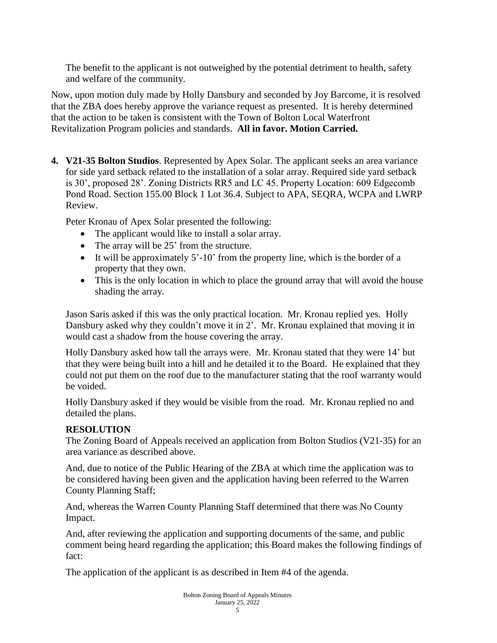The benefit to the applicant is not outweighed by the potential detriment to health, safety and welfare of the community.

Now, upon motion duly made by Holly Dansbury and seconded by Joy Barcome, it is resolved that the ZBA does hereby approve the variance request as presented. It is hereby determined that the action to be taken is consistent with the Town of Bolton Local Waterfront Revitalization Program policies and standards. **All in favor. Motion Carried.**

**4. V21-35 Bolton Studios**. Represented by Apex Solar. The applicant seeks an area variance for side yard setback related to the installation of a solar array. Required side yard setback is 30', proposed 28'. Zoning Districts RR5 and LC 45. Property Location: 609 Edgecomb Pond Road. Section 155.00 Block 1 Lot 36.4. Subject to APA, SEQRA, WCPA and LWRP Review.

Peter Kronau of Apex Solar presented the following:

- The applicant would like to install a solar array.
- The array will be 25' from the structure.
- It will be approximately  $5'$ -10' from the property line, which is the border of a property that they own.
- This is the only location in which to place the ground array that will avoid the house shading the array.

Jason Saris asked if this was the only practical location. Mr. Kronau replied yes. Holly Dansbury asked why they couldn't move it in 2'. Mr. Kronau explained that moving it in would cast a shadow from the house covering the array.

Holly Dansbury asked how tall the arrays were. Mr. Kronau stated that they were 14' but that they were being built into a hill and he detailed it to the Board. He explained that they could not put them on the roof due to the manufacturer stating that the roof warranty would be voided.

Holly Dansbury asked if they would be visible from the road. Mr. Kronau replied no and detailed the plans.

# **RESOLUTION**

The Zoning Board of Appeals received an application from Bolton Studios (V21-35) for an area variance as described above.

And, due to notice of the Public Hearing of the ZBA at which time the application was to be considered having been given and the application having been referred to the Warren County Planning Staff;

And, whereas the Warren County Planning Staff determined that there was No County Impact.

And, after reviewing the application and supporting documents of the same, and public comment being heard regarding the application; this Board makes the following findings of fact:

The application of the applicant is as described in Item #4 of the agenda.